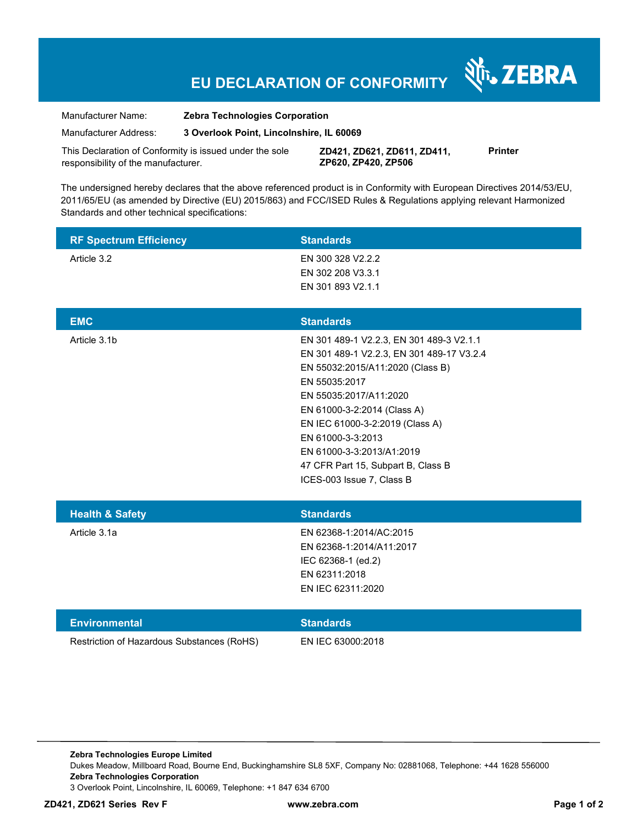## **EU DECLARATION OF CONFORMITY**

| Manufacturer Name:    | <b>Zebra Technologies Corporation</b>    |
|-----------------------|------------------------------------------|
| Manufacturer Address: | 3 Overlook Point, Lincolnshire, IL 60069 |

This Declaration of Conformity is issued under the sole responsibility of the manufacturer.

**ZD421, ZD621, ZD611, ZD411, ZP620, ZP420, ZP506**

**Printer** 

र्शे<sub>ि</sub> ZEBRA

The undersigned hereby declares that the above referenced product is in Conformity with European Directives 2014/53/EU, 2011/65/EU (as amended by Directive (EU) 2015/863) and FCC/ISED Rules & Regulations applying relevant Harmonized Standards and other technical specifications:

| <b>RF Spectrum Efficiency</b>              | <b>Standards</b>                                                                                                                                                                                                                                                                                                                                            |
|--------------------------------------------|-------------------------------------------------------------------------------------------------------------------------------------------------------------------------------------------------------------------------------------------------------------------------------------------------------------------------------------------------------------|
| Article 3.2                                | EN 300 328 V2.2.2<br>EN 302 208 V3.3.1<br>EN 301 893 V2.1.1                                                                                                                                                                                                                                                                                                 |
| <b>EMC</b>                                 | <b>Standards</b>                                                                                                                                                                                                                                                                                                                                            |
| Article 3.1b                               | EN 301 489-1 V2.2.3, EN 301 489-3 V2.1.1<br>EN 301 489-1 V2.2.3, EN 301 489-17 V3.2.4<br>EN 55032:2015/A11:2020 (Class B)<br>EN 55035:2017<br>EN 55035:2017/A11:2020<br>EN 61000-3-2:2014 (Class A)<br>EN IEC 61000-3-2:2019 (Class A)<br>EN 61000-3-3:2013<br>EN 61000-3-3:2013/A1:2019<br>47 CFR Part 15, Subpart B, Class B<br>ICES-003 Issue 7, Class B |
| <b>Health &amp; Safety</b>                 | <b>Standards</b>                                                                                                                                                                                                                                                                                                                                            |
| Article 3.1a                               | EN 62368-1:2014/AC:2015<br>EN 62368-1:2014/A11:2017<br>IEC 62368-1 (ed.2)<br>EN 62311:2018<br>EN IEC 62311:2020                                                                                                                                                                                                                                             |
| <b>Environmental</b>                       | <b>Standards</b>                                                                                                                                                                                                                                                                                                                                            |
| Restriction of Hazardous Substances (RoHS) | EN IEC 63000:2018                                                                                                                                                                                                                                                                                                                                           |

**Zebra Technologies Europe Limited**  Dukes Meadow, Millboard Road, Bourne End, Buckinghamshire SL8 5XF, Company No: 02881068, Telephone: +44 1628 556000 **Zebra Technologies Corporation**  3 Overlook Point, Lincolnshire, IL 60069, Telephone: +1 847 634 6700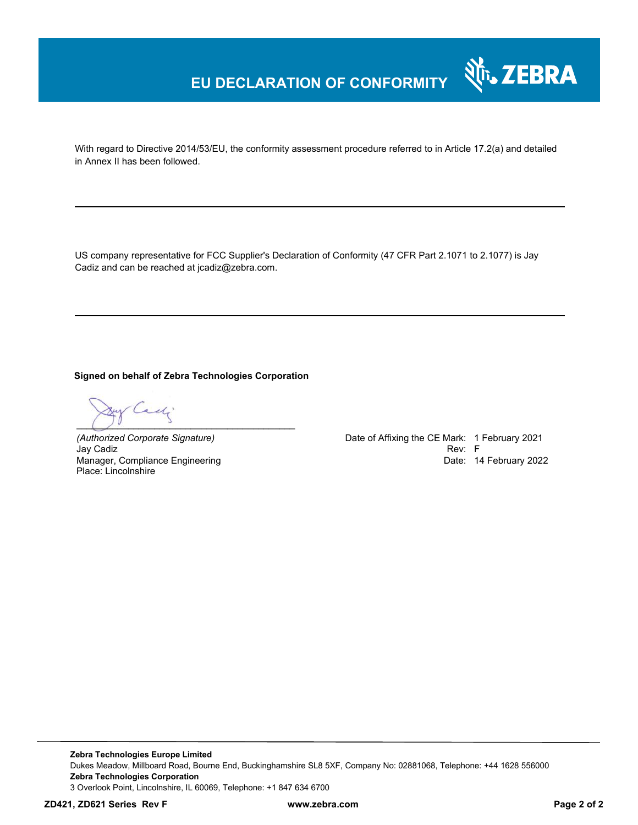## **EU DECLARATION OF CONFORMITY**

With regard to Directive 2014/53/EU, the conformity assessment procedure referred to in Article 17.2(a) and detailed in Annex II has been followed.

US company representative for FCC Supplier's Declaration of Conformity (47 CFR Part 2.1071 to 2.1077) is Jay Cadiz and can be reached at jcadiz@zebra.com.

**Signed on behalf of Zebra Technologies Corporation** 

 $\epsilon\zeta$  $\bigcup_{i=1}^{n}$ 

Jay Cadiz Manager, Compliance Engineering Place: Lincolnshire

*(Authorized Corporate Signature)* Date of Affixing the CE Mark: 1 February 2021 Date: 14 February 2022

र्शे<sub>ि</sub> ZEBRA

**Zebra Technologies Europe Limited**  Dukes Meadow, Millboard Road, Bourne End, Buckinghamshire SL8 5XF, Company No: 02881068, Telephone: +44 1628 556000 **Zebra Technologies Corporation**  3 Overlook Point, Lincolnshire, IL 60069, Telephone: +1 847 634 6700